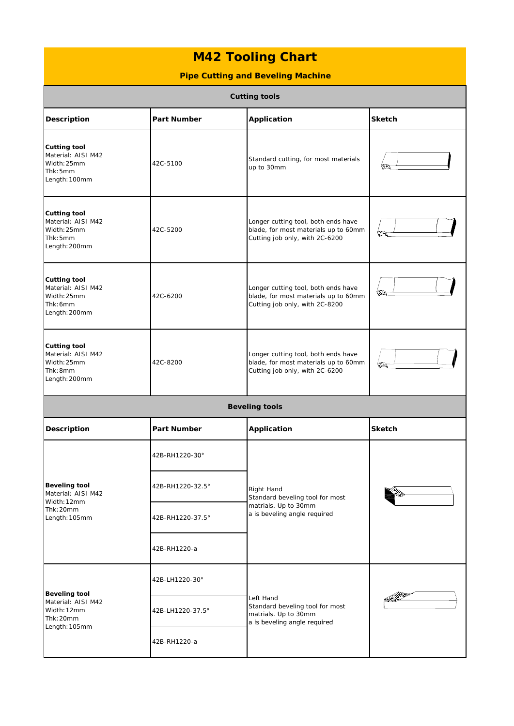## **M42 Tooling Chart**

## **Pipe Cutting and Beveling Machine**

| <b>Cutting tools</b>                                                                    |                                    |                                                                                                               |               |  |
|-----------------------------------------------------------------------------------------|------------------------------------|---------------------------------------------------------------------------------------------------------------|---------------|--|
| Description                                                                             | <b>Part Number</b>                 | <b>Application</b>                                                                                            | <b>Sketch</b> |  |
| <b>Cutting tool</b><br>Material: AISI M42<br>Width: 25mm<br>Thk: 5mm<br>Length: 100mm   | 42C-5100                           | Standard cutting, for most materials<br>up to 30mm                                                            |               |  |
| <b>Cutting tool</b><br>Material: AISI M42<br>Width: 25mm<br>Thk: 5mm<br>Length: 200mm   | 42C-5200                           | Longer cutting tool, both ends have<br>blade, for most materials up to 60mm<br>Cutting job only, with 2C-6200 |               |  |
| <b>Cutting tool</b><br>Material: AISI M42<br>Width: 25mm<br>Thk: 6mm<br>Length: 200mm   | 42C-6200                           | Longer cutting tool, both ends have<br>blade, for most materials up to 60mm<br>Cutting job only, with 2C-8200 |               |  |
| <b>Cutting tool</b><br>Material: AISI M42<br>Width: 25mm<br>Thk: 8mm<br>Length: 200mm   | 42C-8200                           | Longer cutting tool, both ends have<br>blade, for most materials up to 60mm<br>Cutting job only, with 2C-6200 |               |  |
| <b>Beveling tools</b>                                                                   |                                    |                                                                                                               |               |  |
| Description                                                                             | <b>Part Number</b>                 | Application                                                                                                   | <b>Sketch</b> |  |
| <b>Beveling tool</b><br>Material: AISI M42<br>Width: 12mm<br>Thk: 20mm<br>Length: 105mm | 42B-RH1220-30°<br>42B-RH1220-32.5° | Right Hand<br>Standard beveling tool for most<br>matrials. Up to 30mm<br>a is beveling angle required         |               |  |
|                                                                                         |                                    |                                                                                                               |               |  |
|                                                                                         | 42B-RH1220-37.5°                   |                                                                                                               |               |  |
|                                                                                         | 42B-RH1220-a                       |                                                                                                               |               |  |
| <b>Beveling tool</b><br>Material: AISI M42<br>Width: 12mm<br>Thk: 20mm<br>Length: 105mm | 42B-LH1220-30°                     | Left Hand<br>Standard beveling tool for most<br>matrials. Up to 30mm<br>a is beveling angle required          |               |  |
|                                                                                         | 42B-LH1220-37.5°                   |                                                                                                               |               |  |
|                                                                                         | 42B-RH1220-a                       |                                                                                                               |               |  |